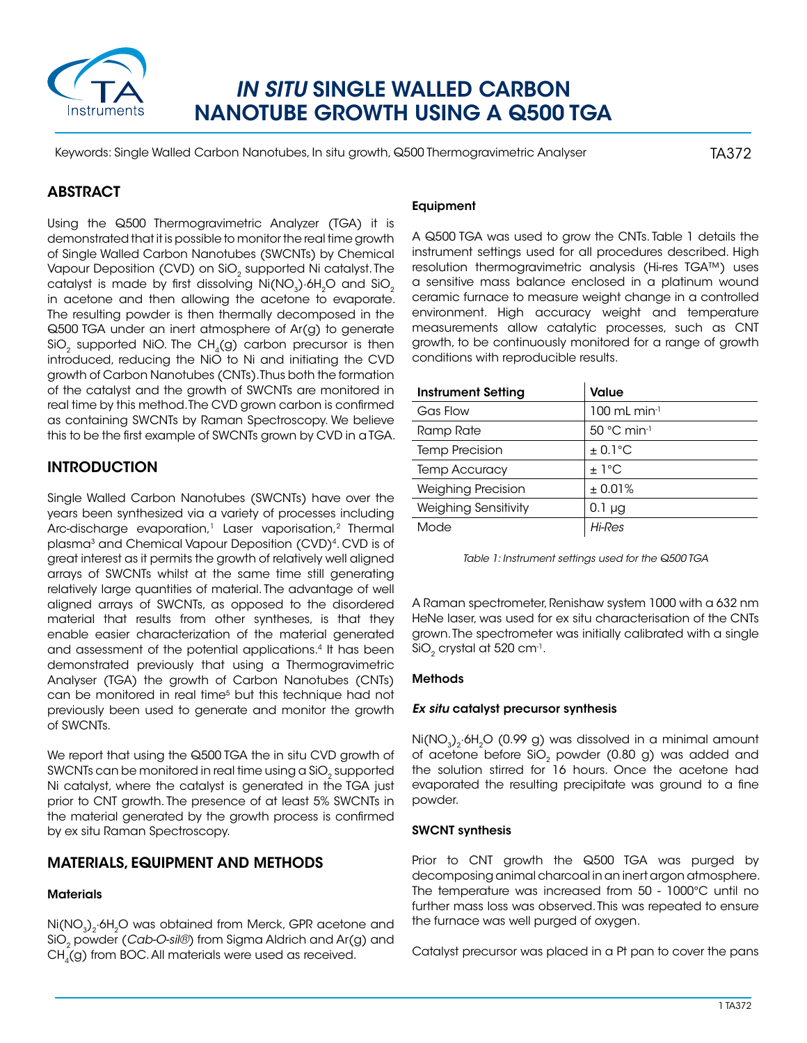

# *IN SITU* SINGLE WALLED CARBON NANOTUBE GROWTH USING A Q500 TGA

Keywords: Single Walled Carbon Nanotubes, In situ growth, Q500 Thermogravimetric Analyser

TA372

# ABSTRACT

Using the Q500 Thermogravimetric Analyzer (TGA) it is demonstrated that it is possible to monitor the real time growth of Single Walled Carbon Nanotubes (SWCNTs) by Chemical Vapour Deposition (CVD) on SiO<sub>2</sub> supported Ni catalyst. The catalyst is made by first dissolving  $Ni(NO<sub>3</sub>)·6H<sub>2</sub>O$  and  $SiO<sub>2</sub>$ in acetone and then allowing the acetone to evaporate. The resulting powder is then thermally decomposed in the Q500 TGA under an inert atmosphere of Ar(g) to generate SiO<sub>2</sub> supported NiO. The CH<sub>4</sub>(g) carbon precursor is then introduced, reducing the NiO to Ni and initiating the CVD growth of Carbon Nanotubes (CNTs). Thus both the formation of the catalyst and the growth of SWCNTs are monitored in real time by this method. The CVD grown carbon is confirmed as containing SWCNTs by Raman Spectroscopy. We believe this to be the first example of SWCNTs grown by CVD in a TGA.

# **INTRODUCTION**

Single Walled Carbon Nanotubes (SWCNTs) have over the years been synthesized via a variety of processes including Arc-discharge evaporation,<sup>1</sup> Laser vaporisation,<sup>2</sup> Thermal plasma<sup>3</sup> and Chemical Vapour Deposition (CVD)<sup>4</sup>. CVD is of great interest as it permits the growth of relatively well aligned arrays of SWCNTs whilst at the same time still generating relatively large quantities of material. The advantage of well aligned arrays of SWCNTs, as opposed to the disordered material that results from other syntheses, is that they enable easier characterization of the material generated and assessment of the potential applications.4 It has been demonstrated previously that using a Thermogravimetric Analyser (TGA) the growth of Carbon Nanotubes (CNTs) can be monitored in real time<sup>5</sup> but this technique had not previously been used to generate and monitor the growth of SWCNTs.

We report that using the Q500 TGA the in situ CVD growth of SWCNTs can be monitored in real time using a SiO<sub>2</sub> supported Ni catalyst, where the catalyst is generated in the TGA just prior to CNT growth. The presence of at least 5% SWCNTs in the material generated by the growth process is confirmed by ex situ Raman Spectroscopy.

# Materials, Equipment and Methods

## **Materials**

Ni(NO<sub>3</sub>)<sub>2</sub>·6H<sub>2</sub>O was obtained from Merck, GPR acetone and SiO<sub>2</sub> powder (*Cab-O-sil®*) from Sigma Aldrich and Ar(g) and  $CH<sub>4</sub>(g)$  from BOC. All materials were used as received.

# Equipment

A Q500 TGA was used to grow the CNTs. Table 1 details the instrument settings used for all procedures described. High resolution thermogravimetric analysis (Hi-res TGA™) uses a sensitive mass balance enclosed in a platinum wound ceramic furnace to measure weight change in a controlled environment. High accuracy weight and temperature measurements allow catalytic processes, such as CNT growth, to be continuously monitored for a range of growth conditions with reproducible results.

| <b>Instrument Setting</b>   | <b>Value</b>                     |
|-----------------------------|----------------------------------|
| Gas Flow                    | $100$ mL min <sup>-1</sup>       |
| Ramp Rate                   | $50^{\circ}$ C min <sup>-1</sup> |
| <b>Temp Precision</b>       | $± 0.1$ °C                       |
| <b>Temp Accuracy</b>        | $+1^{\circ}$ C                   |
| <b>Weighing Precision</b>   | ± 0.01%                          |
| <b>Weighing Sensitivity</b> | $0.1 \mu$ g                      |
| Mode                        | Hi-Res                           |

| Table 1: Instrument settings used for the Q500 TGA |
|----------------------------------------------------|
|----------------------------------------------------|

A Raman spectrometer, Renishaw system 1000 with a 632 nm HeNe laser, was used for ex situ characterisation of the CNTs grown. The spectrometer was initially calibrated with a single  $SiO<sub>2</sub>$  crystal at 520 cm<sup>-1</sup>.

## Methods

#### *Ex situ* catalyst precursor synthesis

 $Ni(NO<sub>3</sub>)<sub>2</sub>·6H<sub>2</sub>O$  (0.99 g) was dissolved in a minimal amount of acetone before SiO<sub>2</sub> powder (0.80 g) was added and the solution stirred for 16 hours. Once the acetone had evaporated the resulting precipitate was ground to a fine powder.

#### SWCNT synthesis

Prior to CNT growth the Q500 TGA was purged by decomposing animal charcoal in an inert argon atmosphere. The temperature was increased from 50 - 1000°C until no further mass loss was observed. This was repeated to ensure the furnace was well purged of oxygen.

Catalyst precursor was placed in a Pt pan to cover the pans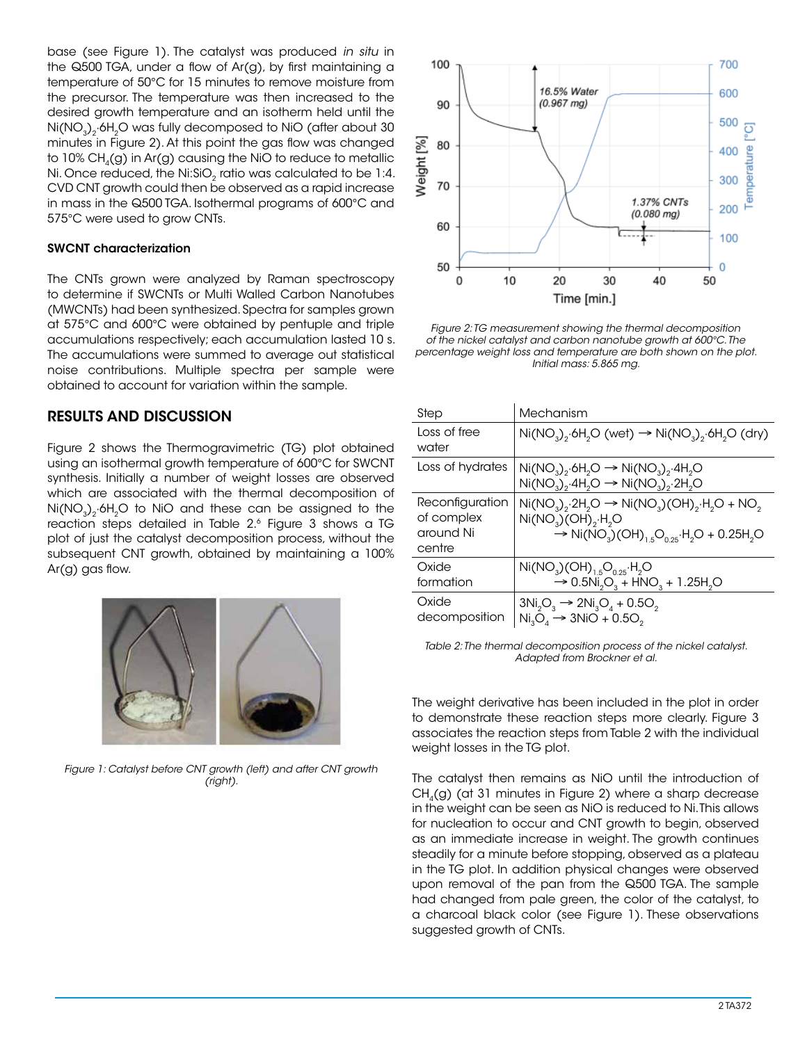base (see Figure 1). The catalyst was produced *in situ* in the Q500 TGA, under a flow of Ar(g), by first maintaining a temperature of 50°C for 15 minutes to remove moisture from the precursor. The temperature was then increased to the desired growth temperature and an isotherm held until the Ni(NO<sub>3</sub>)<sub>2</sub>·6H<sub>2</sub>O was fully decomposed to NiO (after about 30 minutes in Figure 2). At this point the gas flow was changed to  $10\%$  CH<sub>4</sub>(g) in Ar(g) causing the NiO to reduce to metallic Ni. Once reduced, the Ni:SiO<sub>2</sub> ratio was calculated to be 1:4. CVD CNT growth could then be observed as a rapid increase in mass in the Q500 TGA. Isothermal programs of 600°C and 575°C were used to grow CNTs.

#### SWCNT characterization

The CNTs grown were analyzed by Raman spectroscopy to determine if SWCNTs or Multi Walled Carbon Nanotubes (MWCNTs) had been synthesized. Spectra for samples grown at 575°C and 600°C were obtained by pentuple and triple accumulations respectively; each accumulation lasted 10 s. The accumulations were summed to average out statistical noise contributions. Multiple spectra per sample were obtained to account for variation within the sample.

# Results and Discussion

Figure 2 shows the Thermogravimetric (TG) plot obtained using an isothermal growth temperature of 600°C for SWCNT synthesis. Initially a number of weight losses are observed which are associated with the thermal decomposition of Ni(NO<sub>3</sub>)<sub>2</sub>·6H<sub>2</sub>O to NiO and these can be assigned to the reaction steps detailed in Table 2.6 Figure 3 shows a TG plot of just the catalyst decomposition process, without the subsequent CNT growth, obtained by maintaining a 100% Ar(g) gas flow.



*Figure 1: Catalyst before CNT growth (left) and after CNT growth (right).*



*Figure 2: TG measurement showing the thermal decomposition of the nickel catalyst and carbon nanotube growth at 600°C. The percentage weight loss and temperature are both shown on the plot. Initial mass: 5.865 mg.*

| Step                                                 | Mechanism                                                                                                                                                                                    |
|------------------------------------------------------|----------------------------------------------------------------------------------------------------------------------------------------------------------------------------------------------|
| Loss of free<br>water                                | $Ni(NO3), 6H2O (wet) \rightarrow Ni(NO3), 6H2O (dry)$                                                                                                                                        |
| Loss of hydrates                                     | $Ni(NO3)2·6H2O \rightarrow Ni(NO3)2·4H2O$<br>$Ni(NO_3)_{2}·4H_{2}O \rightarrow Ni(NO_3)_{2}·2H_{2}O$                                                                                         |
| Reconfiguration<br>of complex<br>around Ni<br>centre | $Ni(NO3)2·2H2O \rightarrow Ni(NO3)(OH)2·H2O + NO2$<br>$Ni(NO3)(OH)2·H2O$<br>$\rightarrow$ Ni(NO <sub>3</sub> )(OH) <sub>1.5</sub> O <sub>0.25</sub> ·H <sub>2</sub> O + 0.25H <sub>2</sub> O |
| Oxide<br>formation                                   | $Ni(NO3)(OH)1.5O0.25·H2O$<br>$\rightarrow$ 0.5Ni <sub>2</sub> O <sub>3</sub> + HNO <sub>3</sub> + 1.25H <sub>2</sub> O                                                                       |
| Oxide<br>decomposition                               | $3Ni_2O_3 \rightarrow 2Ni_3O_4 + 0.5O_2$<br>$Ni3O4 \rightarrow 3NiO + 0.5O2$                                                                                                                 |

*Table 2: The thermal decomposition process of the nickel catalyst. Adapted from Brockner et al.*

The weight derivative has been included in the plot in order to demonstrate these reaction steps more clearly. Figure 3 associates the reaction steps from Table 2 with the individual weight losses in the TG plot.

The catalyst then remains as NiO until the introduction of  $CH<sub>4</sub>(g)$  (at 31 minutes in Figure 2) where a sharp decrease in the weight can be seen as NiO is reduced to Ni. This allows for nucleation to occur and CNT growth to begin, observed as an immediate increase in weight. The growth continues steadily for a minute before stopping, observed as a plateau in the TG plot. In addition physical changes were observed upon removal of the pan from the Q500 TGA. The sample had changed from pale green, the color of the catalyst, to a charcoal black color (see Figure 1). These observations suggested growth of CNTs.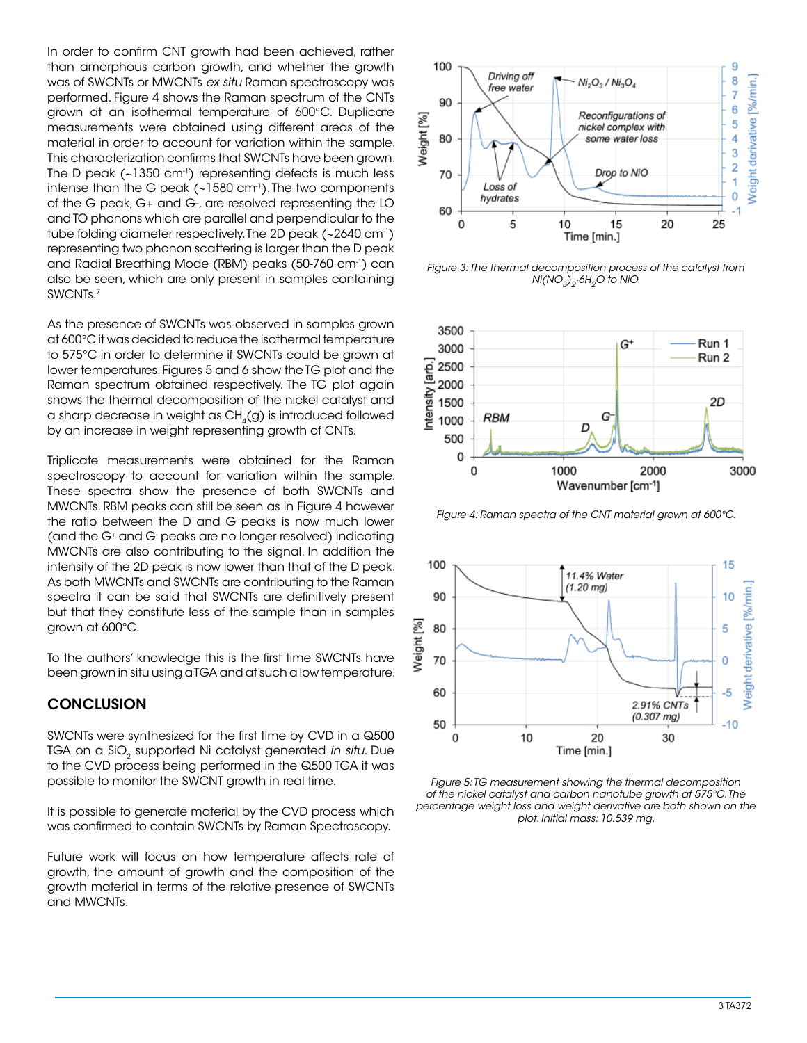In order to confirm CNT growth had been achieved, rather than amorphous carbon growth, and whether the growth was of SWCNTs or MWCNTs *ex situ* Raman spectroscopy was performed. Figure 4 shows the Raman spectrum of the CNTs grown at an isothermal temperature of 600°C. Duplicate measurements were obtained using different areas of the material in order to account for variation within the sample. This characterization confirms that SWCNTs have been grown. The D peak (~1350 cm<sup>-1</sup>) representing defects is much less intense than the G peak (~1580 cm<sup>-1</sup>). The two components of the G peak, G+ and G-, are resolved representing the LO and TO phonons which are parallel and perpendicular to the tube folding diameter respectively. The 2D peak (~2640 cm-1) representing two phonon scattering is larger than the D peak and Radial Breathing Mode (RBM) peaks (50-760 cm-1) can also be seen, which are only present in samples containing SWCNTs.7

As the presence of SWCNTs was observed in samples grown at 600°C it was decided to reduce the isothermal temperature to 575°C in order to determine if SWCNTs could be grown at lower temperatures. Figures 5 and 6 show the TG plot and the Raman spectrum obtained respectively. The TG plot again shows the thermal decomposition of the nickel catalyst and a sharp decrease in weight as  $CH<sub>4</sub>(q)$  is introduced followed by an increase in weight representing growth of CNTs.

Triplicate measurements were obtained for the Raman spectroscopy to account for variation within the sample. These spectra show the presence of both SWCNTs and MWCNTs. RBM peaks can still be seen as in Figure 4 however the ratio between the D and G peaks is now much lower (and the G+ and G- peaks are no longer resolved) indicating MWCNTs are also contributing to the signal. In addition the intensity of the 2D peak is now lower than that of the D peak. As both MWCNTs and SWCNTs are contributing to the Raman spectra it can be said that SWCNTs are definitively present but that they constitute less of the sample than in samples grown at 600°C.

To the authors' knowledge this is the first time SWCNTs have been grown in situ using a TGA and at such a low temperature.

# **CONCLUSION**

SWCNTs were synthesized for the first time by CVD in a Q500 TGA on a SiO<sub>2</sub> supported Ni catalyst generated *in situ*. Due to the CVD process being performed in the Q500 TGA it was possible to monitor the SWCNT growth in real time.

It is possible to generate material by the CVD process which was confirmed to contain SWCNTs by Raman Spectroscopy.

Future work will focus on how temperature affects rate of growth, the amount of growth and the composition of the growth material in terms of the relative presence of SWCNTs and MWCNTs.



*Figure 3: The thermal decomposition process of the catalyst from*   $Ni(NO<sub>3</sub>)<sub>2</sub>·6H<sub>2</sub>O$  to NiO.



*Figure 4: Raman spectra of the CNT material grown at 600°C.*



*Figure 5: TG measurement showing the thermal decomposition of the nickel catalyst and carbon nanotube growth at 575°C. The percentage weight loss and weight derivative are both shown on the plot. Initial mass: 10.539 mg.*